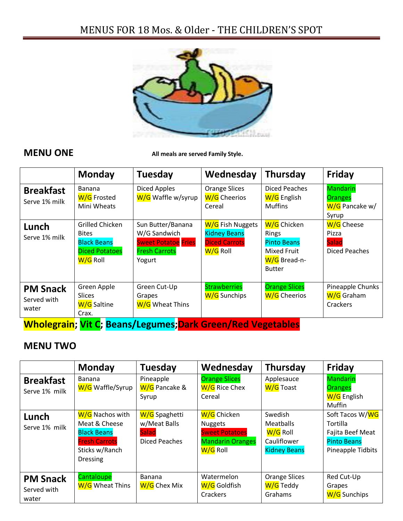# MENUS FOR 18 Mos. & Older - THE CHILDREN'S SPOT



**MENU ONE All meals are served Family Style.** 

|                                                                    | <b>Monday</b>                                                                              | <b>Tuesday</b>                                                                                    | Wednesday                                                                   | Thursday                                                                                                 | <b>Friday</b>                                                |
|--------------------------------------------------------------------|--------------------------------------------------------------------------------------------|---------------------------------------------------------------------------------------------------|-----------------------------------------------------------------------------|----------------------------------------------------------------------------------------------------------|--------------------------------------------------------------|
| <b>Breakfast</b><br>Serve 1% milk                                  | <b>Banana</b><br>W/G Frosted<br>Mini Wheats                                                | Diced Apples<br>W/G Waffle w/syrup                                                                | <b>Orange Slices</b><br>W/G Cheerios<br>Cereal                              | <b>Diced Peaches</b><br>W/G English<br><b>Muffins</b>                                                    | <b>Mandarin</b><br><b>Oranges</b><br>W/G Pancake w/<br>Syrup |
| Lunch<br>Serve 1% milk                                             | Grilled Chicken<br><b>Bites</b><br><b>Black Beans</b><br><b>Diced Potatoes</b><br>W/G Roll | Sun Butter/Banana<br>W/G Sandwich<br><b>Sweet Potatoe Fries</b><br><b>Fresh Carrots</b><br>Yogurt | W/G Fish Nuggets<br><b>Kidney Beans</b><br><b>Diced Carrots</b><br>W/G Roll | W/G Chicken<br><b>Rings</b><br><b>Pinto Beans</b><br><b>Mixed Fruit</b><br>W/G Bread-n-<br><b>Butter</b> | W/G Cheese<br>Pizza<br><b>Salad</b><br>Diced Peaches         |
| <b>PM Snack</b><br>Served with<br>water                            | Green Apple<br><b>Slices</b><br>W/G Saltine<br>Crax.                                       | Green Cut-Up<br>Grapes<br>W/G Wheat Thins                                                         | <b>Strawberries</b><br>W/G Sunchips                                         | <b>Orange Slices</b><br>W/G Cheerios                                                                     | Pineapple Chunks<br>W/G Graham<br>Crackers                   |
| <b>Wholegrain; Vit C; Beans/Legumes; Dark Green/Red Vegetables</b> |                                                                                            |                                                                                                   |                                                                             |                                                                                                          |                                                              |

### **MENU TWO**

|                                         | <b>Monday</b>                                                                                                       | <b>Tuesday</b>                                                 | Wednesday                                                                                     | Thursday                                                                      | Friday                                                                                     |
|-----------------------------------------|---------------------------------------------------------------------------------------------------------------------|----------------------------------------------------------------|-----------------------------------------------------------------------------------------------|-------------------------------------------------------------------------------|--------------------------------------------------------------------------------------------|
| <b>Breakfast</b><br>Serve 1% milk       | <b>Banana</b><br>W/G Waffle/Syrup                                                                                   | Pineapple<br>W/G Pancake &<br>Syrup                            | <b>Orange Slices</b><br>W/G Rice Chex<br>Cereal                                               | Applesauce<br>W/G Toast                                                       | <b>Mandarin</b><br><b>Oranges</b><br>W/G English<br>Muffin                                 |
| Lunch<br>Serve 1% milk                  | W/G Nachos with<br>Meat & Cheese<br><b>Black Beans</b><br><b>Fresh Carrots</b><br>Sticks w/Ranch<br><b>Dressing</b> | W/G Spaghetti<br>w/Meat Balls<br><b>Salad</b><br>Diced Peaches | W/G Chicken<br><b>Nuggets</b><br><b>Sweet Potatoes</b><br><b>Mandarin Oranges</b><br>W/G Roll | Swedish<br><b>Meatballs</b><br>W/G Roll<br>Cauliflower<br><b>Kidney Beans</b> | Soft Tacos W/WG<br>Tortilla<br>Fajita Beef Meat<br><b>Pinto Beans</b><br>Pineapple Tidbits |
| <b>PM Snack</b><br>Served with<br>water | Cantaloupe<br>W/G Wheat Thins                                                                                       | Banana<br>W/G Chex Mix                                         | Watermelon<br>W/G Goldfish<br>Crackers                                                        | <b>Orange Slices</b><br>W/G Teddy<br>Grahams                                  | Red Cut-Up<br>Grapes<br>W/G Sunchips                                                       |